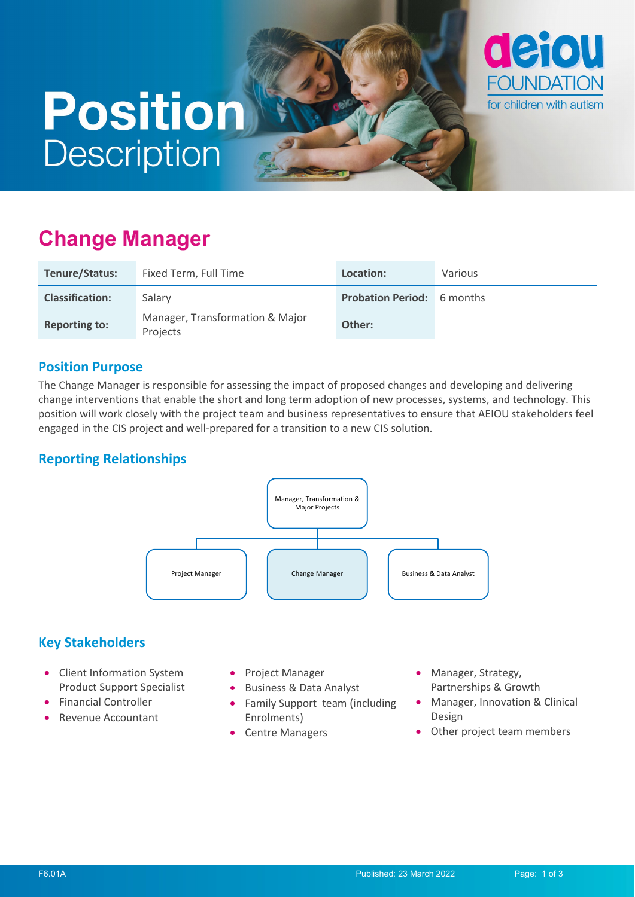# **Position Description**



| Tenure/Status:         | Fixed Term, Full Time                       | Location:                         | Various |
|------------------------|---------------------------------------------|-----------------------------------|---------|
| <b>Classification:</b> | Salary                                      | <b>Probation Period:</b> 6 months |         |
| <b>Reporting to:</b>   | Manager, Transformation & Major<br>Projects | Other:                            |         |

#### **Position Purpose**

The Change Manager is responsible for assessing the impact of proposed changes and developing and delivering change interventions that enable the short and long term adoption of new processes, systems, and technology. This position will work closely with the project team and business representatives to ensure that AEIOU stakeholders feel engaged in the CIS project and well-prepared for a transition to a new CIS solution.

#### **Reporting Relationships**



#### **Key Stakeholders**

- Client Information System Product Support Specialist
- Financial Controller
- Revenue Accountant
- Project Manager
- Business & Data Analyst
- Family Support team (including Enrolments)
- Centre Managers
- Manager, Strategy, Partnerships & Growth
- Manager, Innovation & Clinical Design
- Other project team members

defou

**FOUNDATION** 

for children with autism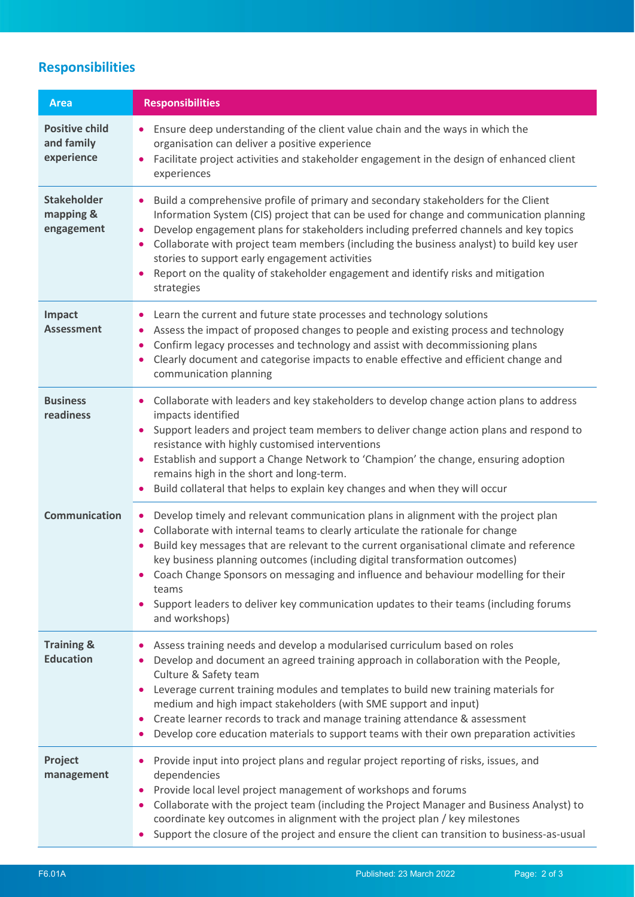## **Responsibilities**

| <b>Area</b>                                       | <b>Responsibilities</b>                                                                                                                                                                                                                                                                                                                                                                                                                                                                                                                                                                         |  |
|---------------------------------------------------|-------------------------------------------------------------------------------------------------------------------------------------------------------------------------------------------------------------------------------------------------------------------------------------------------------------------------------------------------------------------------------------------------------------------------------------------------------------------------------------------------------------------------------------------------------------------------------------------------|--|
| <b>Positive child</b><br>and family<br>experience | Ensure deep understanding of the client value chain and the ways in which the<br>organisation can deliver a positive experience<br>Facilitate project activities and stakeholder engagement in the design of enhanced client<br>experiences                                                                                                                                                                                                                                                                                                                                                     |  |
| <b>Stakeholder</b><br>mapping &<br>engagement     | Build a comprehensive profile of primary and secondary stakeholders for the Client<br>Information System (CIS) project that can be used for change and communication planning<br>Develop engagement plans for stakeholders including preferred channels and key topics<br>Collaborate with project team members (including the business analyst) to build key user<br>stories to support early engagement activities<br>Report on the quality of stakeholder engagement and identify risks and mitigation<br>strategies                                                                         |  |
| Impact<br><b>Assessment</b>                       | Learn the current and future state processes and technology solutions<br>Assess the impact of proposed changes to people and existing process and technology<br>$\bullet$<br>Confirm legacy processes and technology and assist with decommissioning plans<br>$\bullet$<br>Clearly document and categorise impacts to enable effective and efficient change and<br>$\bullet$<br>communication planning                                                                                                                                                                                          |  |
| <b>Business</b><br>readiness                      | Collaborate with leaders and key stakeholders to develop change action plans to address<br>impacts identified<br>Support leaders and project team members to deliver change action plans and respond to<br>resistance with highly customised interventions<br>Establish and support a Change Network to 'Champion' the change, ensuring adoption<br>remains high in the short and long-term.<br>Build collateral that helps to explain key changes and when they will occur                                                                                                                     |  |
| <b>Communication</b>                              | Develop timely and relevant communication plans in alignment with the project plan<br>$\bullet$<br>Collaborate with internal teams to clearly articulate the rationale for change<br>$\bullet$<br>Build key messages that are relevant to the current organisational climate and reference<br>$\bullet$<br>key business planning outcomes (including digital transformation outcomes)<br>Coach Change Sponsors on messaging and influence and behaviour modelling for their<br>teams<br>Support leaders to deliver key communication updates to their teams (including forums<br>and workshops) |  |
| <b>Training &amp;</b><br><b>Education</b>         | Assess training needs and develop a modularised curriculum based on roles<br>Develop and document an agreed training approach in collaboration with the People,<br>Culture & Safety team<br>Leverage current training modules and templates to build new training materials for<br>$\bullet$<br>medium and high impact stakeholders (with SME support and input)<br>Create learner records to track and manage training attendance & assessment<br>$\bullet$<br>Develop core education materials to support teams with their own preparation activities                                         |  |
| Project<br>management                             | Provide input into project plans and regular project reporting of risks, issues, and<br>dependencies<br>Provide local level project management of workshops and forums<br>$\bullet$<br>Collaborate with the project team (including the Project Manager and Business Analyst) to<br>$\bullet$<br>coordinate key outcomes in alignment with the project plan / key milestones<br>Support the closure of the project and ensure the client can transition to business-as-usual<br>$\bullet$                                                                                                       |  |